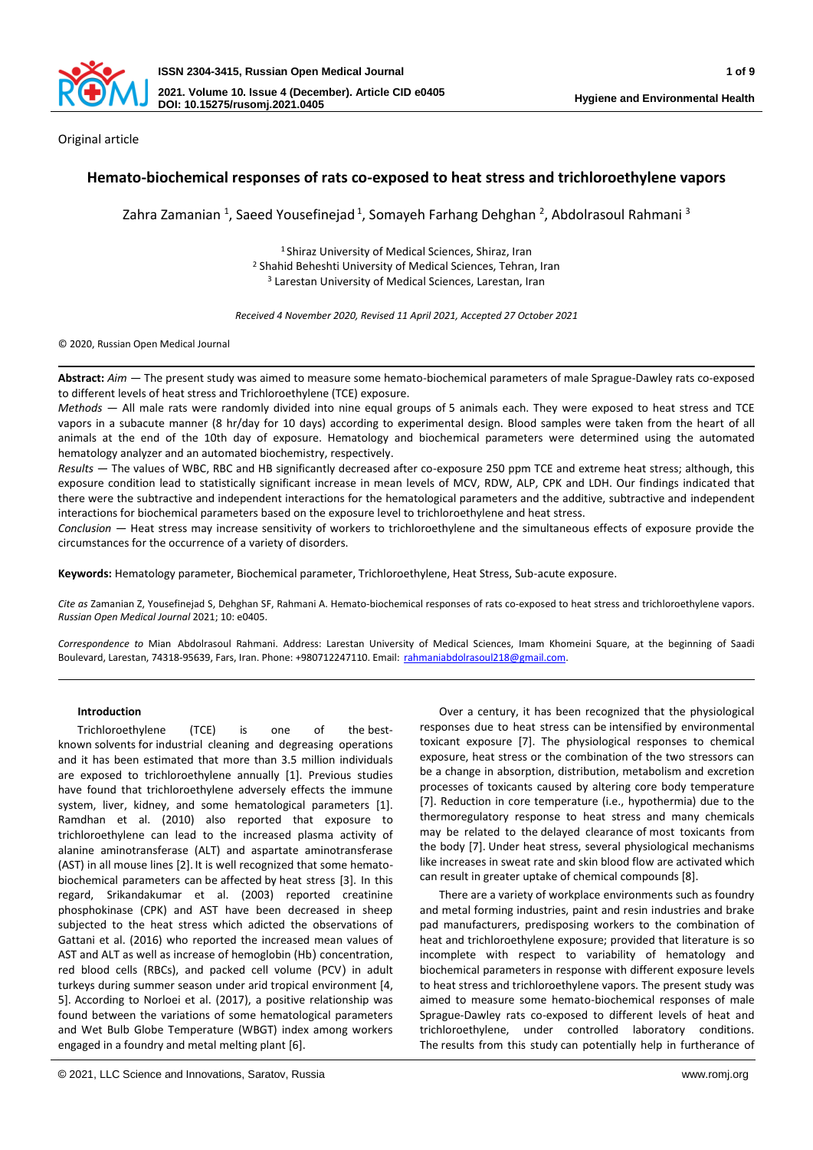

Original article

# **Hemato-biochemical responses of rats co-exposed to heat stress and trichloroethylene vapors**

Zahra Zamanian <sup>1</sup>, Saeed Yousefinejad <sup>1</sup>, Somayeh Farhang Dehghan <sup>2</sup>, Abdolrasoul Rahmani <sup>3</sup>

<sup>1</sup>Shiraz University of Medical Sciences, Shiraz, Iran <sup>2</sup> Shahid Beheshti University of Medical Sciences, Tehran, Iran <sup>3</sup> Larestan University of Medical Sciences, Larestan, Iran

*Received 4 November 2020, Revised 11 April 2021, Accepted 27 October 2021*

© 2020, Russian Open Medical Journal

**Abstract:** *Aim —* The present study was aimed to measure some hemato-biochemical parameters of male Sprague-Dawley rats co-exposed to different levels of heat stress and Trichloroethylene (TCE) exposure.

*Methods —* All male rats were randomly divided into nine equal groups of 5 animals each. They were exposed to heat stress and TCE vapors in a subacute manner (8 hr/day for 10 days) according to experimental design. Blood samples were taken from the heart of all animals at the end of the 10th day of exposure. Hematology and biochemical parameters were determined using the automated hematology analyzer and an automated biochemistry, respectively.

*Results —* The values of WBC, RBC and HB significantly decreased after co-exposure 250 ppm TCE and extreme heat stress; although, this exposure condition lead to statistically significant increase in mean levels of MCV, RDW, ALP, CPK and LDH. Our findings indicated that there were the subtractive and independent interactions for the hematological parameters and the additive, subtractive and independent interactions for biochemical parameters based on the exposure level to trichloroethylene and heat stress.

*Conclusion —* Heat stress may increase sensitivity of workers to trichloroethylene and the simultaneous effects of exposure provide the circumstances for the occurrence of a variety of disorders.

**Keywords:** Hematology parameter, Biochemical parameter, Trichloroethylene, Heat Stress, Sub-acute exposure.

*Cite as* Zamanian Z, Yousefinejad S, Dehghan SF, Rahmani A. Hemato-biochemical responses of rats co-exposed to heat stress and trichloroethylene vapors. *Russian Open Medical Journal* 2021; 10: e0405.

*Correspondence to* Mian Abdolrasoul Rahmani. Address: Larestan University of Medical Sciences, Imam Khomeini Square, at the beginning of Saadi Boulevard, Larestan, 74318-95639, Fars, Iran. Phone: +980712247110. Email: [rahmaniabdolrasoul218@gmail.com.](mailto:rahmaniabdolrasoul218@gmail.com)

### **Introduction**

Trichloroethylene (TCE) is one of the bestknown solvents for industrial cleaning and degreasing operations and it has been estimated that more than 3.5 million individuals are exposed to trichloroethylene annually [1]. Previous studies have found that trichloroethylene adversely effects the immune system, liver, kidney, and some hematological parameters [1]. Ramdhan et al. (2010) also reported that exposure to trichloroethylene can lead to the increased plasma activity of alanine aminotransferase (ALT) and aspartate aminotransferase (AST) in all mouse lines [2]. It is well recognized that some hematobiochemical parameters can be affected by heat stress [3]. In this regard, Srikandakumar et al. (2003) reported creatinine phosphokinase (CPK) and AST have been decreased in sheep subjected to the heat stress which adicted the observations of Gattani et al. (2016) who reported the increased mean values of AST and ALT as well as increase of hemoglobin (Hb) concentration, red blood cells (RBCs), and packed cell volume (PCV) in adult turkeys during summer season under arid tropical environment [4, 5]. According to Norloei et al. (2017), a positive relationship was found between the variations of some hematological parameters and Wet Bulb Globe Temperature (WBGT) index among workers engaged in a foundry and metal melting plant [6].

Over a century, it has been recognized that the physiological responses due to heat stress can be intensified by environmental toxicant exposure [7]. The physiological responses to chemical exposure, heat stress or the combination of the two stressors can be a change in absorption, distribution, metabolism and excretion processes of toxicants caused by altering core body temperature [7]. Reduction in core temperature (i.e., hypothermia) due to the thermoregulatory response to heat stress and many chemicals may be related to the delayed clearance of most toxicants from the body [7]. Under heat stress, several physiological mechanisms like increases in sweat rate and skin blood flow are activated which can result in greater uptake of chemical compounds [8].

There are a variety of workplace environments such as foundry and metal forming industries, paint and resin industries and brake pad manufacturers, predisposing workers to the combination of heat and trichloroethylene exposure; provided that literature is so incomplete with respect to variability of hematology and biochemical parameters in response with different exposure levels to heat stress and trichloroethylene vapors. The present study was aimed to measure some hemato-biochemical responses of male Sprague-Dawley rats co-exposed to different levels of heat and trichloroethylene, under controlled laboratory conditions. The results from this study can potentially help in furtherance of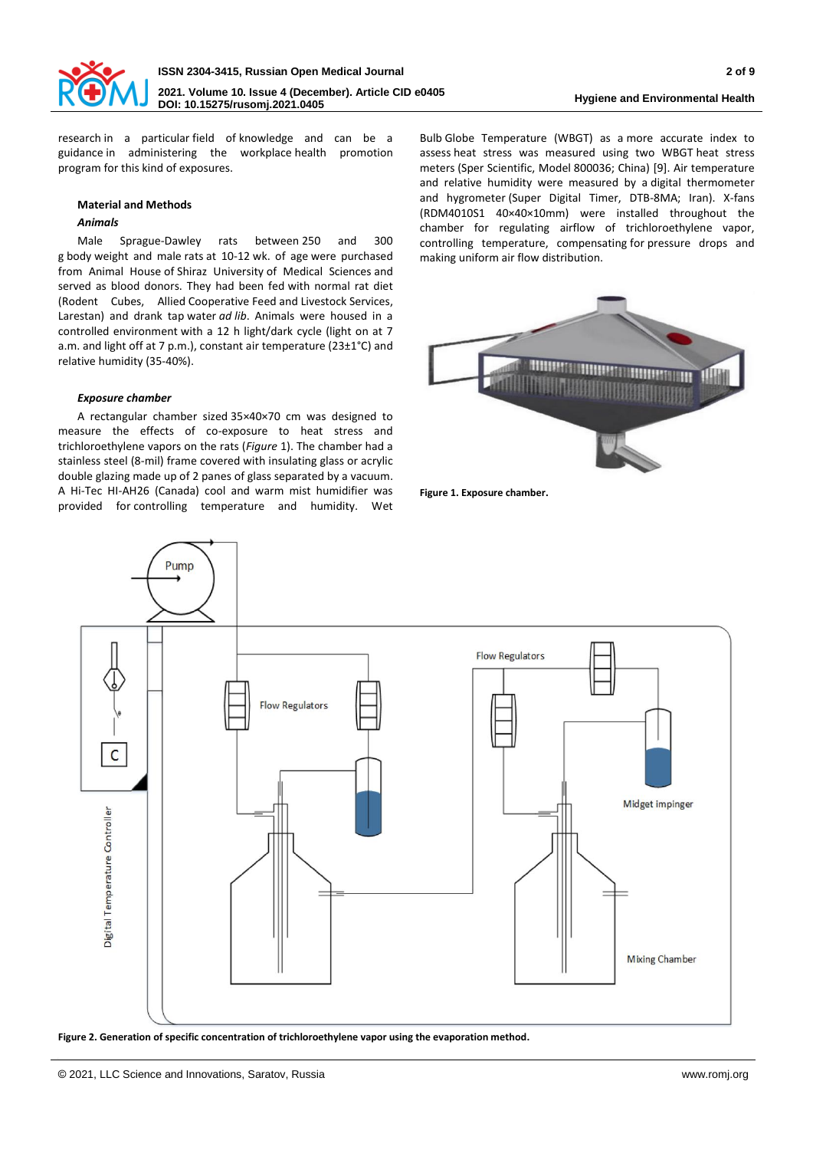

**Hygiene and Environmental Health**

research in a particular field of knowledge and can be a guidance in administering the workplace health promotion program for this kind of exposures.

## **Material and Methods**

## *Animals*

Male Sprague-Dawley rats between 250 and 300 g body weight and male rats at 10-12 wk. of age were purchased from Animal House of Shiraz University of Medical Sciences and served as blood donors. They had been fed with normal rat diet (Rodent Cubes, Allied Cooperative Feed and Livestock Services, Larestan) and drank tap water *ad lib*. Animals were housed in a controlled environment with a 12 h light/dark cycle (light on at 7 a.m. and light off at 7 p.m.), constant air temperature (23±1°C) and relative humidity (35-40%).

## *Exposure chamber*

A rectangular chamber sized 35×40×70 cm was designed to measure the effects of co-exposure to heat stress and trichloroethylene vapors on the rats (*Figure* 1). The chamber had a stainless steel (8-mil) frame covered with insulating glass or acrylic double glazing made up of 2 panes of glass separated by a vacuum. A Hi-Tec HI-AH26 (Canada) cool and warm mist humidifier was provided for controlling temperature and humidity. Wet

Bulb Globe Temperature (WBGT) as a more accurate index to assess heat stress was measured using two WBGT heat stress meters (Sper Scientific, Model 800036; China) [9]. Air temperature and relative humidity were measured by a digital thermometer and hygrometer (Super Digital Timer, DTB-8MA; Iran). X-fans (RDM4010S1 40×40×10mm) were installed throughout the chamber for regulating airflow of trichloroethylene vapor, controlling temperature, compensating for pressure drops and making uniform air flow distribution.



**Figure 1. Exposure chamber.**



**Figure 2. Generation of specific concentration of trichloroethylene vapor using the evaporation method.**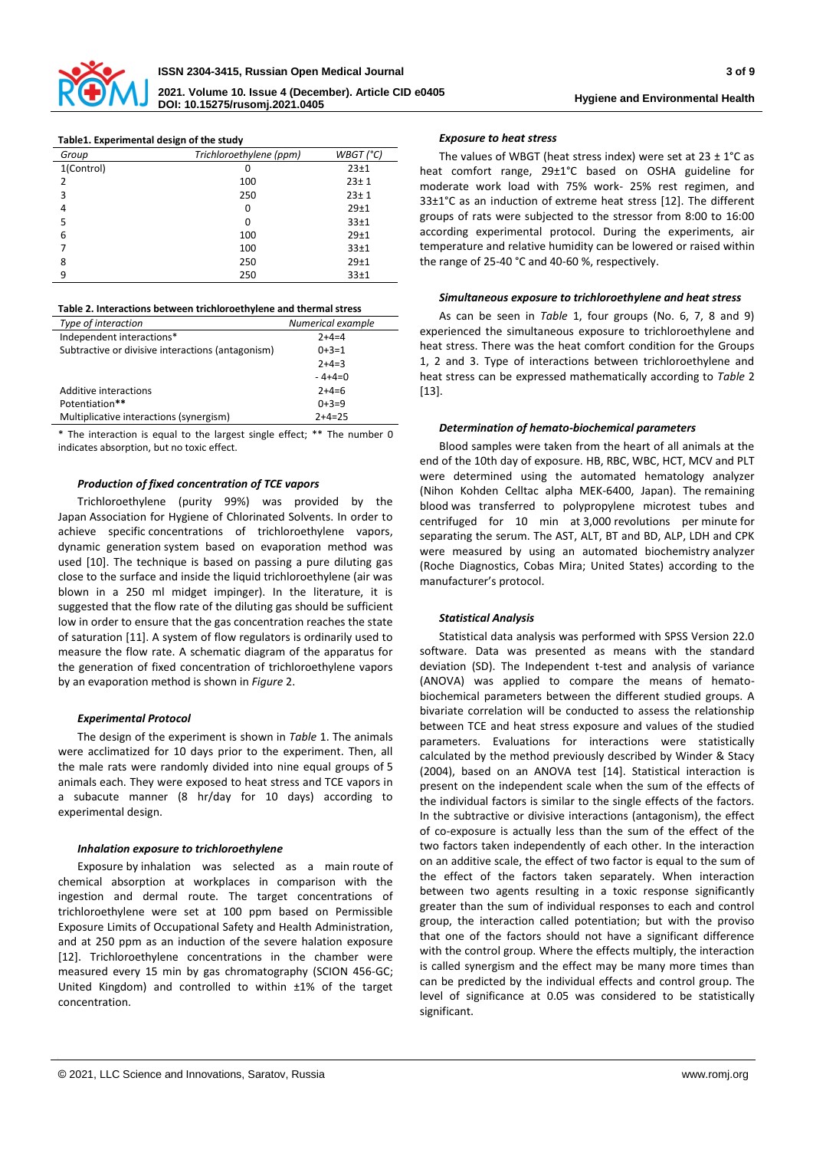

| Table1. Experimental design of the study |                         |            |  |  |  |
|------------------------------------------|-------------------------|------------|--|--|--|
| Group                                    | Trichloroethylene (ppm) | WBGT('C)   |  |  |  |
| 1(Control)                               | ŋ                       | 23±1       |  |  |  |
| $\mathcal{P}$                            | 100                     | $23 + 1$   |  |  |  |
| 3                                        | 250                     | $23 \pm 1$ |  |  |  |
| 4                                        | 0                       | $29+1$     |  |  |  |
| 5                                        | O                       | 33±1       |  |  |  |
| 6                                        | 100                     | $29+1$     |  |  |  |
|                                          | 100                     | 33±1       |  |  |  |
| 8                                        | 250                     | $29+1$     |  |  |  |
| 9                                        | 250                     | 33±1       |  |  |  |
|                                          |                         |            |  |  |  |

**Table 2. Interactions between trichloroethylene and thermal stress**

| Type of interaction                               | Numerical example |
|---------------------------------------------------|-------------------|
| Independent interactions*                         | $7+4=4$           |
| Subtractive or divisive interactions (antagonism) | $0+3=1$           |
|                                                   | $2+4=3$           |
|                                                   | $-4+4=0$          |
| Additive interactions                             | $2+4=6$           |
| Potentiation**                                    | $0+3=9$           |
| Multiplicative interactions (synergism)           | $2+4=25$          |

\* The interaction is equal to the largest single effect; \*\* The number 0 indicates absorption, but no toxic effect.

### *Production of fixed concentration of TCE vapors*

Trichloroethylene (purity 99%) was provided by the Japan Association for Hygiene of Chlorinated Solvents. In order to achieve specific concentrations of trichloroethylene vapors, dynamic generation system based on evaporation method was used [10]. The technique is based on passing a pure diluting gas close to the surface and inside the liquid trichloroethylene (air was blown in a 250 ml midget impinger). In the literature, it is suggested that the flow rate of the diluting gas should be sufficient low in order to ensure that the gas concentration reaches the state of saturation [11]. A system of flow regulators is ordinarily used to measure the flow rate. A schematic diagram of the apparatus for the generation of fixed concentration of trichloroethylene vapors by an evaporation method is shown in *Figure* 2.

#### *Experimental Protocol*

The design of the experiment is shown in *Table* 1. The animals were acclimatized for 10 days prior to the experiment. Then, all the male rats were randomly divided into nine equal groups of 5 animals each. They were exposed to heat stress and TCE vapors in a subacute manner (8 hr/day for 10 days) according to experimental design.

#### *Inhalation exposure to trichloroethylene*

Exposure by inhalation was selected as a main route of chemical absorption at workplaces in comparison with the ingestion and dermal route. The target concentrations of trichloroethylene were set at 100 ppm based on Permissible Exposure Limits of Occupational Safety and Health Administration, and at 250 ppm as an induction of the severe halation exposure [12]. Trichloroethylene concentrations in the chamber were measured every 15 min by gas chromatography (SCION 456-GC; United Kingdom) and controlled to within ±1% of the target concentration.

**Hygiene and Environmental Health**

## *Exposure to heat stress*

The values of WBGT (heat stress index) were set at  $23 \pm 1^{\circ}$ C as heat comfort range, 29±1°C based on OSHA guideline for moderate work load with 75% work- 25% rest regimen, and 33±1°C as an induction of extreme heat stress [12]. The different groups of rats were subjected to the stressor from 8:00 to 16:00 according experimental protocol. During the experiments, air temperature and relative humidity can be lowered or raised within the range of 25-40 °C and 40-60 %, respectively.

### *Simultaneous exposure to trichloroethylene and heat stress*

As can be seen in *Table* 1, four groups (No. 6, 7, 8 and 9) experienced the simultaneous exposure to trichloroethylene and heat stress. There was the heat comfort condition for the Groups 1, 2 and 3. Type of interactions between trichloroethylene and heat stress can be expressed mathematically according to *Table* 2 [13].

### *Determination of hemato-biochemical parameters*

Blood samples were taken from the heart of all animals at the end of the 10th day of exposure. HB, RBC, WBC, HCT, MCV and PLT were determined using the automated hematology analyzer (Nihon Kohden Celltac alpha MEK-6400, Japan). The remaining blood was transferred to polypropylene microtest tubes and centrifuged for 10 min at 3,000 revolutions per minute for separating the serum. The AST, ALT, BT and BD, ALP, LDH and CPK were measured by using an automated biochemistry analyzer (Roche Diagnostics, Cobas Mira; United States) according to the manufacturer's protocol.

### *Statistical Analysis*

Statistical data analysis was performed with SPSS Version 22.0 software. Data was presented as means with the standard deviation (SD). The Independent t-test and analysis of variance (ANOVA) was applied to compare the means of hematobiochemical parameters between the different studied groups. A bivariate correlation will be conducted to assess the relationship between TCE and heat stress exposure and values of the studied parameters. Evaluations for interactions were statistically calculated by the method previously described by Winder & Stacy (2004), based on an ANOVA test [14]. Statistical interaction is present on the independent scale when the sum of the effects of the individual factors is similar to the single effects of the factors. In the subtractive or divisive interactions (antagonism), the effect of co-exposure is actually less than the sum of the effect of the two factors taken independently of each other. In the interaction on an additive scale, the effect of two factor is equal to the sum of the effect of the factors taken separately. When interaction between two agents resulting in a toxic response significantly greater than the sum of individual responses to each and control group, the interaction called potentiation; but with the proviso that one of the factors should not have a significant difference with the control group. Where the effects multiply, the interaction is called synergism and the effect may be many more times than can be predicted by the individual effects and control group. The level of significance at 0.05 was considered to be statistically significant.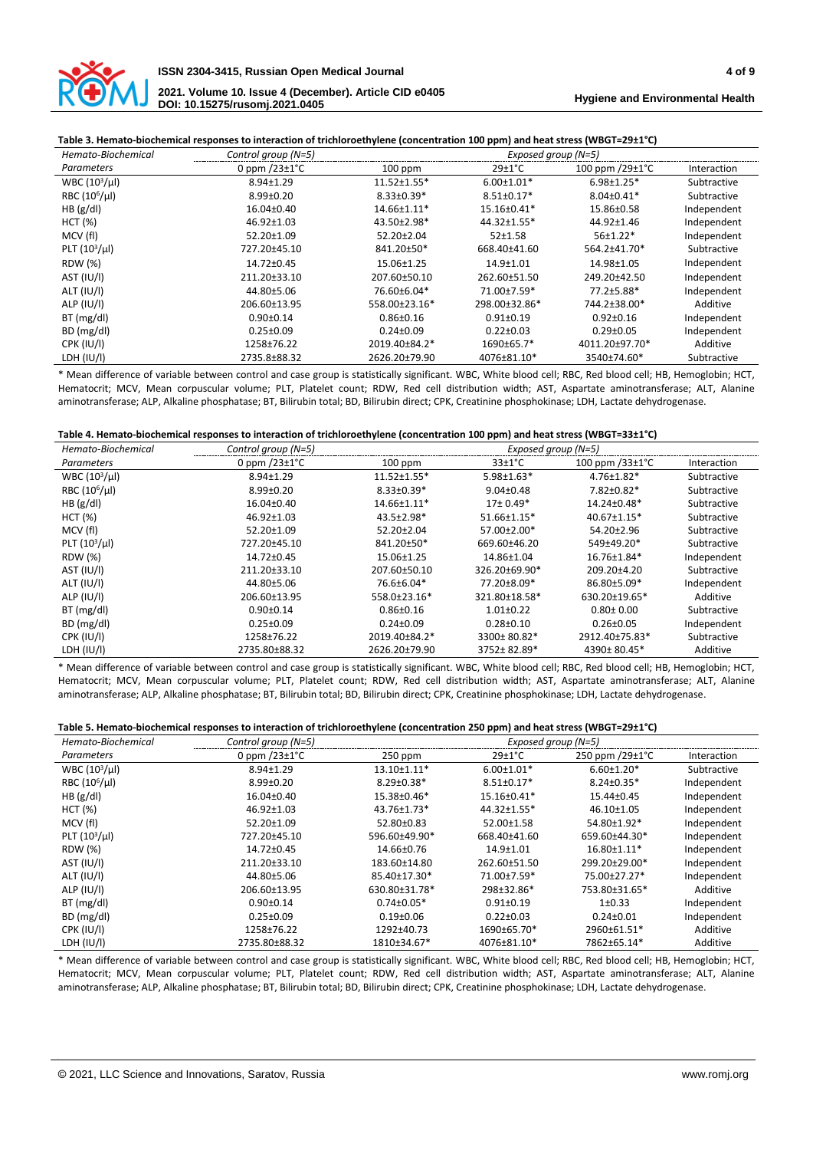

## **Table 3. Hemato-biochemical responses to interaction of trichloroethylene (concentration 100 ppm) and heat stress (WBGT=29±1°C)**

| Hemato-Biochemical | Control group (N=5)        |                    | Exposed group (N=5)  |                               |             |
|--------------------|----------------------------|--------------------|----------------------|-------------------------------|-------------|
| Parameters         | 0 ppm $/23 \pm 1^{\circ}C$ | $100$ ppm          | $29 \pm 1^{\circ}$ C | 100 ppm $/29 \pm 1^{\circ}$ C | Interaction |
| WBC $(103/\mu l)$  | 8.94±1.29                  | $11.52 \pm 1.55$ * | $6.00 \pm 1.01*$     | $6.98 \pm 1.25$ *             | Subtractive |
| RBC $(10^6/\mu l)$ | $8.99 \pm 0.20$            | $8.33 \pm 0.39*$   | $8.51 \pm 0.17*$     | $8.04 \pm 0.41*$              | Subtractive |
| HB (g/d)           | 16.04±0.40                 | 14.66±1.11*        | 15.16±0.41*          | 15.86±0.58                    | Independent |
| HCT (%)            | 46.92±1.03                 | 43.50±2.98*        | 44.32±1.55*          | 44.92±1.46                    | Independent |
| MCV (fl)           | 52.20±1.09                 | 52.20±2.04         | $52+1.58$            | 56±1.22*                      | Independent |
| PLT $(10^3/\mu l)$ | 727.20±45.10               | 841.20±50*         | 668.40±41.60         | 564.2±41.70*                  | Subtractive |
| <b>RDW</b> (%)     | 14.72±0.45                 | 15.06±1.25         | 14.9±1.01            | 14.98±1.05                    | Independent |
| AST (IU/I)         | 211.20±33.10               | 207.60±50.10       | 262.60±51.50         | 249.20±42.50                  | Independent |
| ALT (IU/I)         | 44.80±5.06                 | 76.60±6.04*        | 71.00±7.59*          | 77.2±5.88*                    | Independent |
| ALP (IU/I)         | 206.60±13.95               | 558.00±23.16*      | 298.00±32.86*        | 744.2±38.00*                  | Additive    |
| BT(mg/dl)          | $0.90 \pm 0.14$            | $0.86 \pm 0.16$    | $0.91 \pm 0.19$      | $0.92 \pm 0.16$               | Independent |
| BD (mg/dl)         | $0.25 \pm 0.09$            | $0.24 \pm 0.09$    | $0.22 \pm 0.03$      | $0.29 \pm 0.05$               | Independent |
| <b>CPK (IU/I)</b>  | 1258±76.22                 | 2019.40±84.2*      | 1690±65.7*           | 4011.20±97.70*                | Additive    |
| LDH (IU/I)         | 2735.8±88.32               | 2626.20±79.90      | 4076±81.10*          | 3540±74.60*                   | Subtractive |

\* Mean difference of variable between control and case group is statistically significant. WBC, White blood cell; RBC, Red blood cell; HB, Hemoglobin; HCT, Hematocrit; MCV, Mean corpuscular volume; PLT, Platelet count; RDW, Red cell distribution width; AST, Aspartate aminotransferase; ALT, Alanine aminotransferase; ALP, Alkaline phosphatase; BT, Bilirubin total; BD, Bilirubin direct; CPK, Creatinine phosphokinase; LDH, Lactate dehydrogenase.

| Hemato-Biochemical        | Control group (N=5)        | Exposed group (N=5) |                      |                               |             |
|---------------------------|----------------------------|---------------------|----------------------|-------------------------------|-------------|
| Parameters                | 0 ppm $/23 \pm 1^{\circ}C$ | $100$ ppm           | $33 \pm 1^{\circ}$ C | 100 ppm $/33 \pm 1^{\circ}$ C | Interaction |
| WBC $(10^3/\mu l)$        | 8.94±1.29                  | $11.52 \pm 1.55$ *  | $5.98 \pm 1.63*$     | $4.76 \pm 1.82$ *             | Subtractive |
| RBC (10 <sup>6</sup> /µl) | $8.99 \pm 0.20$            | $8.33 \pm 0.39*$    | $9.04 \pm 0.48$      | 7.82±0.82*                    | Subtractive |
| HB (g/d)                  | 16.04±0.40                 | 14.66±1.11*         | $17\pm0.49*$         | 14.24±0.48*                   | Subtractive |
| HCT (%)                   | 46.92±1.03                 | 43.5±2.98*          | $51.66 \pm 1.15*$    | $40.67 \pm 1.15$ <sup>*</sup> | Subtractive |
| MCV (fl)                  | 52.20±1.09                 | 52.20±2.04          | 57.00±2.00*          | 54.20±2.96                    | Subtractive |
| PLT $(10^3/\mu l)$        | 727.20±45.10               | 841.20±50*          | 669.60±46.20         | 549±49.20*                    | Subtractive |
| <b>RDW</b> (%)            | 14.72±0.45                 | 15.06±1.25          | 14.86±1.04           | 16.76±1.84*                   | Independent |
| AST (IU/I)                | 211.20±33.10               | 207.60±50.10        | 326.20±69.90*        | 209.20±4.20                   | Subtractive |
| ALT (IU/I)                | 44.80±5.06                 | 76.6±6.04*          | 77.20±8.09*          | 86.80±5.09*                   | Independent |
| ALP (IU/I)                | 206.60±13.95               | 558.0±23.16*        | 321.80±18.58*        | 630.20±19.65*                 | Additive    |
| BT(mg/dl)                 | $0.90 \pm 0.14$            | $0.86 \pm 0.16$     | $1.01 \pm 0.22$      | $0.80 \pm 0.00$               | Subtractive |
| BD (mg/dl)                | $0.25 \pm 0.09$            | $0.24 \pm 0.09$     | $0.28 \pm 0.10$      | $0.26 \pm 0.05$               | Independent |
| CPK (IU/I)                | 1258±76.22                 | 2019.40±84.2*       | 3300±80.82*          | 2912.40±75.83*                | Subtractive |
| LDH (IU/I)                | 2735.80±88.32              | 2626.20±79.90       | 3752±82.89*          | 4390±80.45*                   | Additive    |

\* Mean difference of variable between control and case group is statistically significant. WBC, White blood cell; RBC, Red blood cell; HB, Hemoglobin; HCT, Hematocrit; MCV, Mean corpuscular volume; PLT, Platelet count; RDW, Red cell distribution width; AST, Aspartate aminotransferase; ALT, Alanine aminotransferase; ALP, Alkaline phosphatase; BT, Bilirubin total; BD, Bilirubin direct; CPK, Creatinine phosphokinase; LDH, Lactate dehydrogenase.

| Hemato-Biochemical        | Control group (N=5)        | Exposed group (N=5) |                      |                            |             |
|---------------------------|----------------------------|---------------------|----------------------|----------------------------|-------------|
| Parameters                | 0 ppm $/23 \pm 1^{\circ}C$ | $250$ ppm           | $29 \pm 1^{\circ}$ C | 250 ppm $/29\pm1^{\circ}C$ | Interaction |
| $WBC (103/\mu l)$         | 8.94±1.29                  | 13.10±1.11*         | $6.00 \pm 1.01*$     | $6.60 \pm 1.20*$           | Subtractive |
| RBC (10 <sup>6</sup> /µl) | $8.99 \pm 0.20$            | $8.29 \pm 0.38*$    | $8.51 \pm 0.17*$     | $8.24 \pm 0.35*$           | Independent |
| HB (g/d)                  | 16.04±0.40                 | 15.38±0.46*         | 15.16±0.41*          | 15.44±0.45                 | Independent |
| HCT (%)                   | 46.92±1.03                 | 43.76±1.73*         | 44.32±1.55*          | 46.10±1.05                 | Independent |
| MCV (fl)                  | 52.20±1.09                 | 52.80±0.83          | 52.00±1.58           | 54.80±1.92*                | Independent |
| PLT $(10^3/\mu l)$        | 727.20±45.10               | 596.60±49.90*       | 668.40±41.60         | 659.60±44.30*              | Independent |
| <b>RDW</b> (%)            | 14.72±0.45                 | 14.66±0.76          | 14.9±1.01            | 16.80±1.11*                | Independent |
| AST (IU/I)                | 211.20±33.10               | 183.60±14.80        | 262.60±51.50         | 299.20±29.00*              | Independent |
| ALT (IU/I)                | 44.80±5.06                 | 85.40±17.30*        | 71.00±7.59*          | 75.00±27.27*               | Independent |
| ALP (IU/I)                | 206.60±13.95               | 630.80±31.78*       | 298±32.86*           | 753.80±31.65*              | Additive    |
| BT(mg/dl)                 | $0.90 \pm 0.14$            | $0.74 \pm 0.05*$    | $0.91 \pm 0.19$      | 1±0.33                     | Independent |
| BD (mg/dl)                | $0.25 \pm 0.09$            | $0.19 \pm 0.06$     | $0.22 \pm 0.03$      | $0.24 \pm 0.01$            | Independent |
| CPK (IU/I)                | 1258±76.22                 | 1292±40.73          | 1690±65.70*          | 2960±61.51*                | Additive    |
| LDH (IU/I)                | 2735.80±88.32              | 1810±34.67*         | 4076±81.10*          | 7862±65.14*                | Additive    |

\* Mean difference of variable between control and case group is statistically significant. WBC, White blood cell; RBC, Red blood cell; HB, Hemoglobin; HCT, Hematocrit; MCV, Mean corpuscular volume; PLT, Platelet count; RDW, Red cell distribution width; AST, Aspartate aminotransferase; ALT, Alanine aminotransferase; ALP, Alkaline phosphatase; BT, Bilirubin total; BD, Bilirubin direct; CPK, Creatinine phosphokinase; LDH, Lactate dehydrogenase.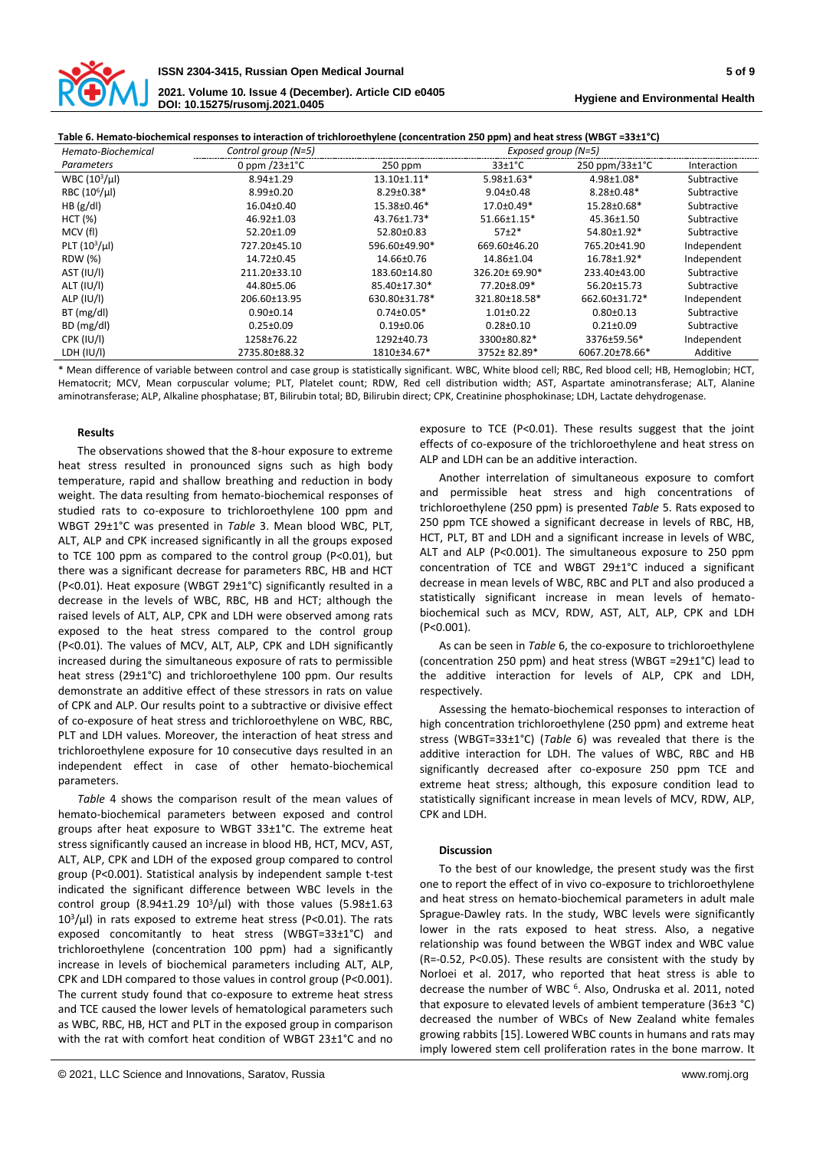

**Hygiene and Environmental Health**

**Table 6. Hemato-biochemical responses to interaction of trichloroethylene (concentration 250 ppm) and heat stress (WBGT =33±1°C)**

| Hemato-Biochemical | Control group (N=5)         |                  | Exposed group (N=5)  |                                  |             |
|--------------------|-----------------------------|------------------|----------------------|----------------------------------|-------------|
| Parameters         | 0 ppm $/23 \pm 1^{\circ}$ C | 250 ppm          | $33 \pm 1^{\circ}$ C | $250$ ppm/33 $\pm$ 1 $\degree$ C | Interaction |
| $WBC (103/\mu l)$  | 8.94±1.29                   | 13.10±1.11*      | $5.98 \pm 1.63*$     | 4.98±1.08*                       | Subtractive |
| RBC $(10^6/\mu l)$ | $8.99 \pm 0.20$             | $8.29 \pm 0.38*$ | $9.04 \pm 0.48$      | $8.28 \pm 0.48*$                 | Subtractive |
| HB (g/d)           | 16.04±0.40                  | 15.38±0.46*      | 17.0±0.49*           | 15.28±0.68*                      | Subtractive |
| HCT (%)            | 46.92±1.03                  | 43.76±1.73*      | 51.66±1.15*          | 45.36±1.50                       | Subtractive |
| MCV (fl)           | 52.20±1.09                  | 52.80±0.83       | $57+2*$              | 54.80±1.92*                      | Subtractive |
| PLT $(10^3/\mu l)$ | 727.20±45.10                | 596.60±49.90*    | 669.60±46.20         | 765.20±41.90                     | Independent |
| <b>RDW</b> (%)     | 14.72±0.45                  | 14.66±0.76       | 14.86±1.04           | 16.78±1.92*                      | Independent |
| AST (IU/I)         | 211.20±33.10                | 183.60±14.80     | 326.20±69.90*        | 233.40±43.00                     | Subtractive |
| ALT (IU/I)         | 44.80±5.06                  | 85.40±17.30*     | 77.20±8.09*          | 56.20±15.73                      | Subtractive |
| ALP (IU/I)         | 206.60±13.95                | 630.80±31.78*    | 321.80±18.58*        | 662.60±31.72*                    | Independent |
| BT(mg/dl)          | $0.90 \pm 0.14$             | $0.74 \pm 0.05*$ | $1.01 \pm 0.22$      | $0.80 + 0.13$                    | Subtractive |
| BD (mg/dl)         | $0.25 \pm 0.09$             | $0.19 + 0.06$    | $0.28 \pm 0.10$      | $0.21 \pm 0.09$                  | Subtractive |
| CPK (IU/I)         | 1258±76.22                  | 1292±40.73       | 3300±80.82*          | 3376±59.56*                      | Independent |
| LDH (IU/I)         | 2735.80±88.32               | 1810±34.67*      | 3752±82.89*          | 6067.20±78.66*                   | Additive    |

\* Mean difference of variable between control and case group is statistically significant. WBC, White blood cell; RBC, Red blood cell; HB, Hemoglobin; HCT, Hematocrit; MCV, Mean corpuscular volume; PLT, Platelet count; RDW, Red cell distribution width; AST, Aspartate aminotransferase; ALT, Alanine aminotransferase; ALP, Alkaline phosphatase; BT, Bilirubin total; BD, Bilirubin direct; CPK, Creatinine phosphokinase; LDH, Lactate dehydrogenase.

### **Results**

The observations showed that the 8-hour exposure to extreme heat stress resulted in pronounced signs such as high body temperature, rapid and shallow breathing and reduction in body weight. The data resulting from hemato-biochemical responses of studied rats to co-exposure to trichloroethylene 100 ppm and WBGT 29±1°C was presented in *Table* 3. Mean blood WBC, PLT, ALT, ALP and CPK increased significantly in all the groups exposed to TCE 100 ppm as compared to the control group (P<0.01), but there was a significant decrease for parameters RBC, HB and HCT (P<0.01). Heat exposure (WBGT 29±1°C) significantly resulted in a decrease in the levels of WBC, RBC, HB and HCT; although the raised levels of ALT, ALP, CPK and LDH were observed among rats exposed to the heat stress compared to the control group (P<0.01). The values of MCV, ALT, ALP, CPK and LDH significantly increased during the simultaneous exposure of rats to permissible heat stress (29±1°C) and trichloroethylene 100 ppm. Our results demonstrate an additive effect of these stressors in rats on value of CPK and ALP. Our results point to a subtractive or divisive effect of co-exposure of heat stress and trichloroethylene on WBC, RBC, PLT and LDH values. Moreover, the interaction of heat stress and trichloroethylene exposure for 10 consecutive days resulted in an independent effect in case of other hemato-biochemical parameters.

*Table* 4 shows the comparison result of the mean values of hemato-biochemical parameters between exposed and control groups after heat exposure to WBGT 33±1°C. The extreme heat stress significantly caused an increase in blood HB, HCT, MCV, AST, ALT, ALP, CPK and LDH of the exposed group compared to control group (P<0.001). Statistical analysis by independent sample t-test indicated the significant difference between WBC levels in the control group  $(8.94\pm1.29\ 10^3/\mu l)$  with those values  $(5.98\pm1.63$  $10<sup>3</sup>/\mu$ l) in rats exposed to extreme heat stress (P<0.01). The rats exposed concomitantly to heat stress (WBGT=33±1°C) and trichloroethylene (concentration 100 ppm) had a significantly increase in levels of biochemical parameters including ALT, ALP, CPK and LDH compared to those values in control group (P<0.001). The current study found that co-exposure to extreme heat stress and TCE caused the lower levels of hematological parameters such as WBC, RBC, HB, HCT and PLT in the exposed group in comparison with the rat with comfort heat condition of WBGT 23±1°C and no

exposure to TCE (P<0.01). These results suggest that the joint effects of co-exposure of the trichloroethylene and heat stress on ALP and LDH can be an additive interaction.

Another interrelation of simultaneous exposure to comfort and permissible heat stress and high concentrations of trichloroethylene (250 ppm) is presented *Table* 5. Rats exposed to 250 ppm TCE showed a significant decrease in levels of RBC, HB, HCT, PLT, BT and LDH and a significant increase in levels of WBC, ALT and ALP (P<0.001). The simultaneous exposure to 250 ppm concentration of TCE and WBGT 29±1°C induced a significant decrease in mean levels of WBC, RBC and PLT and also produced a statistically significant increase in mean levels of hematobiochemical such as MCV, RDW, AST, ALT, ALP, CPK and LDH (P<0.001).

As can be seen in *Table* 6, the co-exposure to trichloroethylene (concentration 250 ppm) and heat stress (WBGT =29±1°C) lead to the additive interaction for levels of ALP, CPK and LDH, respectively.

Assessing the hemato-biochemical responses to interaction of high concentration trichloroethylene (250 ppm) and extreme heat stress (WBGT=33±1°C) (*Table* 6) was revealed that there is the additive interaction for LDH. The values of WBC, RBC and HB significantly decreased after co-exposure 250 ppm TCE and extreme heat stress; although, this exposure condition lead to statistically significant increase in mean levels of MCV, RDW, ALP, CPK and LDH.

#### **Discussion**

To the best of our knowledge, the present study was the first one to report the effect of in vivo co-exposure to trichloroethylene and heat stress on hemato-biochemical parameters in adult male Sprague-Dawley rats. In the study, WBC levels were significantly lower in the rats exposed to heat stress. Also, a negative relationship was found between the WBGT index and WBC value (R=-0.52, P<0.05). These results are consistent with the study by Norloei et al. 2017, who reported that heat stress is able to decrease the number of WBC <sup>6</sup>. Also, Ondruska et al. 2011, noted that exposure to elevated levels of ambient temperature (36±3 °C) decreased the number of WBCs of New Zealand white females growing rabbits [15]. Lowered WBC counts in humans and rats may imply lowered stem cell proliferation rates in the bone marrow. It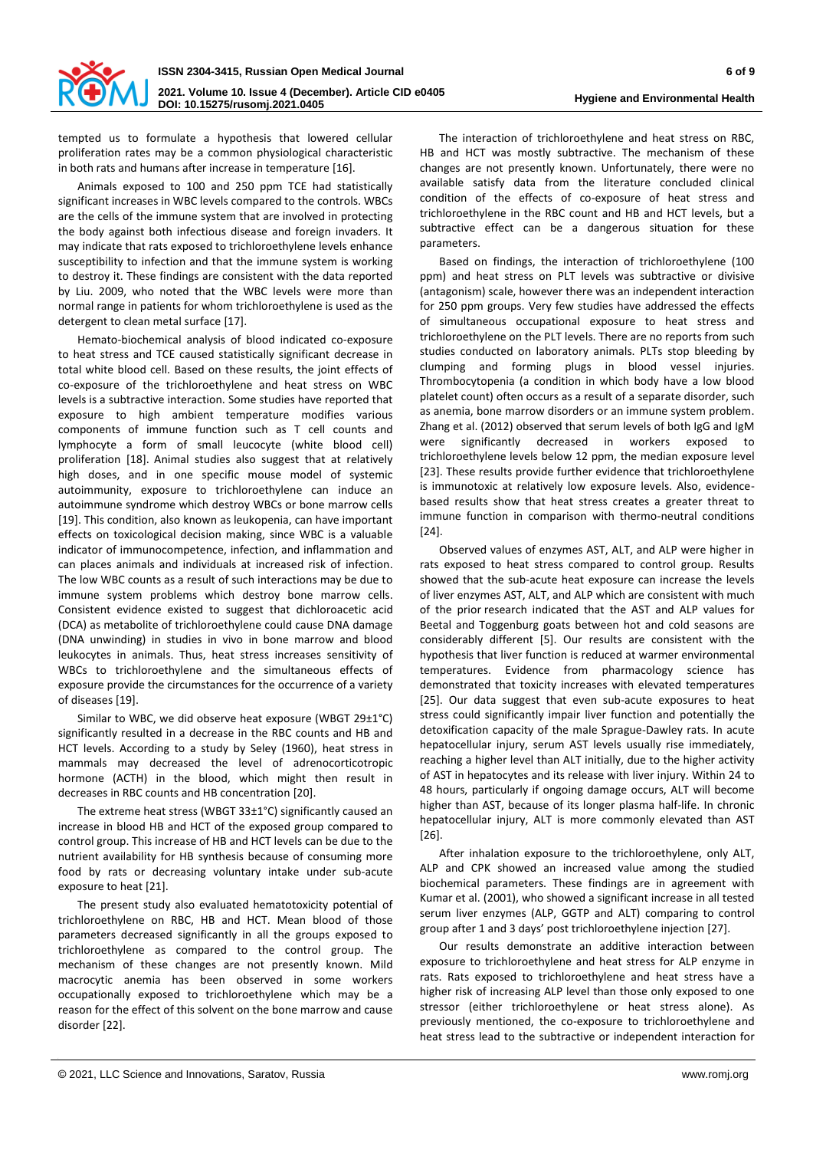

tempted us to formulate a hypothesis that lowered cellular proliferation rates may be a common physiological characteristic in both rats and humans after increase in temperature [16].

Animals exposed to 100 and 250 ppm TCE had statistically significant increases in WBC levels compared to the controls. WBCs are the cells of the immune system that are involved in protecting the body against both infectious disease and foreign invaders. It may indicate that rats exposed to trichloroethylene levels enhance susceptibility to infection and that the immune system is working to destroy it. These findings are consistent with the data reported by Liu. 2009, who noted that the WBC levels were more than normal range in patients for whom trichloroethylene is used as the detergent to clean metal surface [17].

Hemato-biochemical analysis of blood indicated co-exposure to heat stress and TCE caused statistically significant decrease in total white blood cell. Based on these results, the joint effects of co-exposure of the trichloroethylene and heat stress on WBC levels is a subtractive interaction. Some studies have reported that exposure to high ambient temperature modifies various components of immune function such as T cell counts and lymphocyte a form of small leucocyte (white blood cell) proliferation [18]. Animal studies also suggest that at relatively high doses, and in one specific mouse model of systemic autoimmunity, exposure to trichloroethylene can induce an autoimmune syndrome which destroy WBCs or bone marrow cells [19]. This condition, also known as leukopenia, can have important effects on toxicological decision making, since WBC is a valuable indicator of immunocompetence, infection, and inflammation and can places animals and individuals at increased risk of infection. The low WBC counts as a result of such interactions may be due to immune system problems which destroy bone marrow cells. Consistent evidence existed to suggest that dichloroacetic acid (DCA) as metabolite of trichloroethylene could cause DNA damage (DNA unwinding) in studies in vivo in bone marrow and blood leukocytes in animals. Thus, heat stress increases sensitivity of WBCs to trichloroethylene and the simultaneous effects of exposure provide the circumstances for the occurrence of a variety of diseases [19].

Similar to WBC, we did observe heat exposure (WBGT 29±1°C) significantly resulted in a decrease in the RBC counts and HB and HCT levels. According to a study by Seley (1960), heat stress in mammals may decreased the level of adrenocorticotropic hormone (ACTH) in the blood, which might then result in decreases in RBC counts and HB concentration [20].

The extreme heat stress (WBGT 33±1°C) significantly caused an increase in blood HB and HCT of the exposed group compared to control group. This increase of HB and HCT levels can be due to the nutrient availability for HB synthesis because of consuming more food by rats or decreasing voluntary intake under sub-acute exposure to heat [21].

The present study also evaluated hematotoxicity potential of trichloroethylene on RBC, HB and HCT. Mean blood of those parameters decreased significantly in all the groups exposed to trichloroethylene as compared to the control group. The mechanism of these changes are not presently known. Mild macrocytic anemia has been observed in some workers occupationally exposed to trichloroethylene which may be a reason for the effect of this solvent on the bone marrow and cause disorder [22].

The interaction of trichloroethylene and heat stress on RBC, HB and HCT was mostly subtractive. The mechanism of these changes are not presently known. Unfortunately, there were no available satisfy data from the literature concluded clinical condition of the effects of co-exposure of heat stress and trichloroethylene in the RBC count and HB and HCT levels, but a subtractive effect can be a dangerous situation for these parameters.

Based on findings, the interaction of trichloroethylene (100 ppm) and heat stress on PLT levels was subtractive or divisive (antagonism) scale, however there was an independent interaction for 250 ppm groups. Very few studies have addressed the effects of simultaneous occupational exposure to heat stress and trichloroethylene on the PLT levels. There are no reports from such studies conducted on laboratory animals. PLTs stop bleeding by clumping and forming plugs in blood vessel injuries. Thrombocytopenia (a condition in which body have a low blood platelet count) often occurs as a result of a separate disorder, such as anemia, bone marrow disorders or an immune system problem. Zhang et al. (2012) observed that serum levels of both IgG and IgM were significantly decreased in workers exposed to trichloroethylene levels below 12 ppm, the median exposure level [23]. These results provide further evidence that trichloroethylene is immunotoxic at relatively low exposure levels. Also, evidencebased results show that heat stress creates a greater threat to immune function in comparison with thermo-neutral conditions [24].

Observed values of enzymes AST, ALT, and ALP were higher in rats exposed to heat stress compared to control group. Results showed that the sub-acute heat exposure can increase the levels of liver enzymes AST, ALT, and ALP which are consistent with much of the prior research indicated that the AST and ALP values for Beetal and Toggenburg goats between hot and cold seasons are considerably different [5]. Our results are consistent with the hypothesis that liver function is reduced at warmer environmental temperatures. Evidence from pharmacology science has demonstrated that toxicity increases with elevated temperatures [25]. Our data suggest that even sub-acute exposures to heat stress could significantly impair liver function and potentially the detoxification capacity of the male Sprague-Dawley rats. In acute hepatocellular injury, serum AST levels usually rise immediately, reaching a higher level than ALT initially, due to the higher activity of AST in hepatocytes and its release with liver injury. Within 24 to 48 hours, particularly if ongoing damage occurs, ALT will become higher than AST, because of its longer plasma half-life. In chronic hepatocellular injury, ALT is more commonly elevated than AST [26].

After inhalation exposure to the trichloroethylene, only ALT, ALP and CPK showed an increased value among the studied biochemical parameters. These findings are in agreement with Kumar et al. (2001), who showed a significant increase in all tested serum liver enzymes (ALP, GGTP and ALT) comparing to control group after 1 and 3 days' post trichloroethylene injection [27].

Our results demonstrate an additive interaction between exposure to trichloroethylene and heat stress for ALP enzyme in rats. Rats exposed to trichloroethylene and heat stress have a higher risk of increasing ALP level than those only exposed to one stressor (either trichloroethylene or heat stress alone). As previously mentioned, the co-exposure to trichloroethylene and heat stress lead to the subtractive or independent interaction for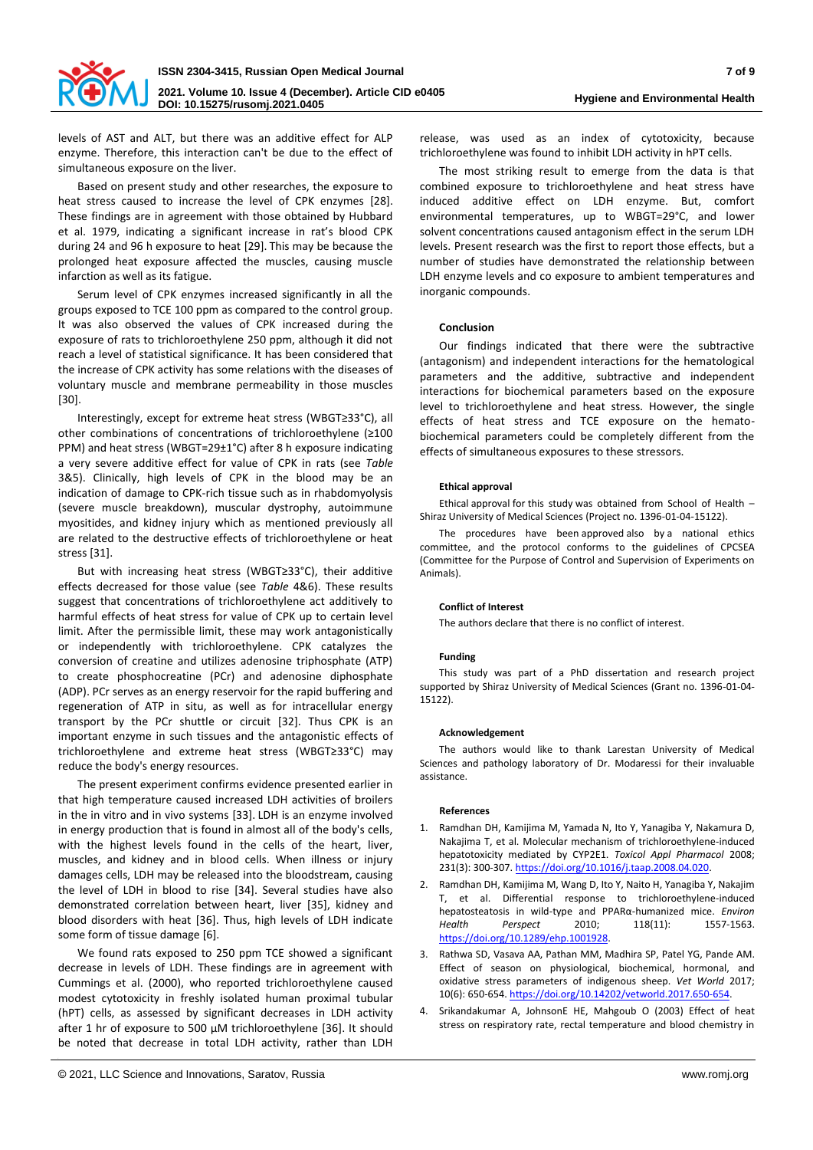

levels of AST and ALT, but there was an additive effect for ALP enzyme. Therefore, this interaction can't be due to the effect of simultaneous exposure on the liver.

Based on present study and other researches, the exposure to heat stress caused to increase the level of CPK enzymes [28]. These findings are in agreement with those obtained by Hubbard et al. 1979, indicating a significant increase in rat's blood CPK during 24 and 96 h exposure to heat [29]. This may be because the prolonged heat exposure affected the muscles, causing muscle infarction as well as its fatigue.

Serum level of CPK enzymes increased significantly in all the groups exposed to TCE 100 ppm as compared to the control group. It was also observed the values of CPK increased during the exposure of rats to trichloroethylene 250 ppm, although it did not reach a level of statistical significance. It has been considered that the increase of CPK activity has some relations with the diseases of voluntary muscle and membrane permeability in those muscles [30].

Interestingly, except for extreme heat stress (WBGT≥33°C), all other combinations of concentrations of trichloroethylene (≥100 PPM) and heat stress (WBGT=29±1°C) after 8 h exposure indicating a very severe additive effect for value of CPK in rats (see *Table* 3&5). Clinically, high levels of CPK in the blood may be an indication of damage to CPK-rich tissue such as in rhabdomyolysis (severe muscle breakdown), muscular dystrophy, autoimmune myositides, and kidney injury which as mentioned previously all are related to the destructive effects of trichloroethylene or heat stress [31].

But with increasing heat stress (WBGT≥33°C), their additive effects decreased for those value (see *Table* 4&6). These results suggest that concentrations of trichloroethylene act additively to harmful effects of heat stress for value of CPK up to certain level limit. After the permissible limit, these may work antagonistically or independently with trichloroethylene. CPK catalyzes the conversion of creatine and utilizes adenosine triphosphate (ATP) to create phosphocreatine (PCr) and adenosine diphosphate (ADP). PCr serves as an energy reservoir for the rapid buffering and regeneration of ATP in situ, as well as for intracellular energy transport by the PCr shuttle or circuit [32]. Thus CPK is an important enzyme in such tissues and the antagonistic effects of trichloroethylene and extreme heat stress (WBGT≥33°C) may reduce the body's energy resources.

The present experiment confirms evidence presented earlier in that high temperature caused increased LDH activities of broilers in the in vitro and in vivo systems [33]. LDH is an enzyme involved in energy production that is found in almost all of the body's cells, with the highest levels found in the cells of the heart, liver, muscles, and kidney and in blood cells. When illness or injury damages cells, LDH may be released into the bloodstream, causing the level of LDH in blood to rise [34]. Several studies have also demonstrated correlation between heart, liver [35], kidney and blood disorders with heat [36]. Thus, high levels of LDH indicate some form of tissue damage [6].

We found rats exposed to 250 ppm TCE showed a significant decrease in levels of LDH. These findings are in agreement with Cummings et al. (2000), who reported trichloroethylene caused modest cytotoxicity in freshly isolated human proximal tubular (hPT) cells, as assessed by significant decreases in LDH activity after 1 hr of exposure to 500 μM trichloroethylene [36]. It should be noted that decrease in total LDH activity, rather than LDH

release, was used as an index of cytotoxicity, because trichloroethylene was found to inhibit LDH activity in hPT cells.

The most striking result to emerge from the data is that combined exposure to trichloroethylene and heat stress have induced additive effect on LDH enzyme. But, comfort environmental temperatures, up to WBGT=29°C, and lower solvent concentrations caused antagonism effect in the serum LDH levels. Present research was the first to report those effects, but a number of studies have demonstrated the relationship between LDH enzyme levels and co exposure to ambient temperatures and inorganic compounds.

#### **Conclusion**

Our findings indicated that there were the subtractive (antagonism) and independent interactions for the hematological parameters and the additive, subtractive and independent interactions for biochemical parameters based on the exposure level to trichloroethylene and heat stress. However, the single effects of heat stress and TCE exposure on the hematobiochemical parameters could be completely different from the effects of simultaneous exposures to these stressors.

#### **Ethical approval**

Ethical approval for this study was obtained from School of Health – Shiraz University of Medical Sciences (Project no. 1396-01-04-15122).

The procedures have been approved also by a national ethics committee, and the protocol conforms to the guidelines of CPCSEA (Committee for the Purpose of Control and Supervision of Experiments on Animals).

#### **Conflict of Interest**

The authors declare that there is no conflict of interest.

#### **Funding**

This study was part of a PhD dissertation and research project supported by Shiraz University of Medical Sciences (Grant no. 1396-01-04- 15122).

#### **Acknowledgement**

The authors would like to thank Larestan University of Medical Sciences and pathology laboratory of Dr. Modaressi for their invaluable assistance.

#### **References**

- 1. Ramdhan DH, Kamijima M, Yamada N, Ito Y, Yanagiba Y, Nakamura D, Nakajima T, et al. Molecular mechanism of trichloroethylene-induced hepatotoxicity mediated by CYP2E1. *Toxicol Appl Pharmacol* 2008; 231(3): 300-307. [https://doi.org/10.1016/j.taap.2008.04.020.](https://doi.org/10.1016/j.taap.2008.04.020)
- 2. Ramdhan DH, Kamijima M, Wang D, Ito Y, Naito H, Yanagiba Y, Nakajim T, et al. Differential response to trichloroethylene-induced hepatosteatosis in wild-type and PPARα-humanized mice. *Environ Health Perspect* 2010; 118(11): 1557-1563. [https://doi.org/10.1289/ehp.1001928.](https://doi.org/10.1289/ehp.1001928)
- 3. Rathwa SD, Vasava AA, Pathan MM, Madhira SP, Patel YG, Pande AM. Effect of season on physiological, biochemical, hormonal, and oxidative stress parameters of indigenous sheep. *Vet World* 2017; 10(6): 650-654. [https://doi.org/10.14202/vetworld.2017.650-654.](https://doi.org/10.14202/vetworld.2017.650-654)
- 4. Srikandakumar A, JohnsonE HE, Mahgoub O (2003) Effect of heat stress on respiratory rate, rectal temperature and blood chemistry in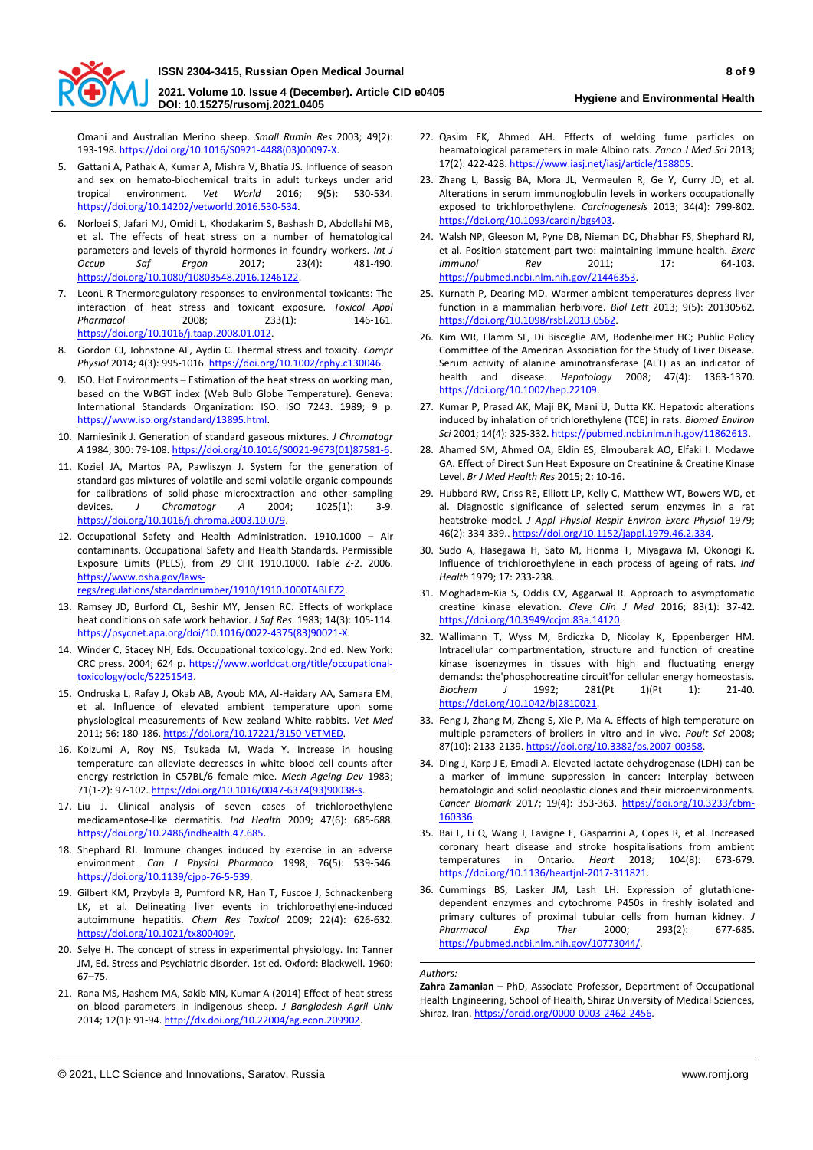

**2021. Volume 10. Issue 4 (December). Article CID e0405 DOI: 10.15275/rusomj.2021.0405**

**Hygiene and Environmental Health**

Omani and Australian Merino sheep. *Small Rumin Res* 2003; 49(2): 193-198. [https://doi.org/10.1016/S0921-4488\(03\)00097-X.](https://doi.org/10.1016/S0921-4488(03)00097-X) 

- 5. Gattani A, Pathak A, Kumar A, Mishra V, Bhatia JS. Influence of season and sex on hemato-biochemical traits in adult turkeys under arid tropical environment. *Vet World* 2016; 9(5): 530-534. [https://doi.org/10.14202/vetworld.2016.530-534.](https://doi.org/10.14202/vetworld.2016.530-534)
- 6. Norloei S, Jafari MJ, Omidi L, Khodakarim S, Bashash D, Abdollahi MB, et al. The effects of heat stress on a number of hematological parameters and levels of thyroid hormones in foundry workers. *Int J Occup Saf Ergon* 2017; 23(4): 481-490. [https://doi.org/10.1080/10803548.2016.1246122.](https://doi.org/10.1080/10803548.2016.1246122)
- 7. LeonL R Thermoregulatory responses to environmental toxicants: The interaction of heat stress and toxicant exposure. *Toxicol Appl Pharmacol* 2008; 233(1): 146-161. [https://doi.org/10.1016/j.taap.2008.01.012.](https://doi.org/10.1016/j.taap.2008.01.012)
- 8. Gordon CJ, Johnstone AF, Aydin C. Thermal stress and toxicity. *Compr Physiol* 2014; 4(3): 995-1016. [https://doi.org/10.1002/cphy.c130046.](https://doi.org/10.1002/cphy.c130046)
- 9. ISO. Hot Environments Estimation of the heat stress on working man, based on the WBGT index (Web Bulb Globe Temperature). Geneva: International Standards Organization: ISO. ISO 7243. 1989; 9 p. [https://www.iso.org/standard/13895.html.](https://www.iso.org/standard/13895.html)
- 10. Namiesīnik J. Generation of standard gaseous mixtures. *J Chromatogr A* 1984; 300: 79-108. [https://doi.org/10.1016/S0021-9673\(01\)87581-6.](https://doi.org/10.1016/S0021-9673(01)87581-6)
- 11. Koziel JA, Martos PA, Pawliszyn J. System for the generation of standard gas mixtures of volatile and semi-volatile organic compounds for calibrations of solid-phase microextraction and other sampling devices. *J Chromatogr A* 2004; 1025(1): 3-9. [https://doi.org/10.1016/j.chroma.2003.10.079.](https://doi.org/10.1016/j.chroma.2003.10.079)
- 12. Occupational Safety and Health Administration. 1910.1000 Air contaminants. Occupational Safety and Health Standards. Permissible Exposure Limits (PELS), from 29 CFR 1910.1000. Table Z-2. 2006. [https://www.osha.gov/laws](https://www.osha.gov/laws-regs/regulations/standardnumber/1910/1910.1000TABLEZ2)[regs/regulations/standardnumber/1910/1910.1000TABLEZ2.](https://www.osha.gov/laws-regs/regulations/standardnumber/1910/1910.1000TABLEZ2)
- 13. Ramsey JD, Burford CL, Beshir MY, Jensen RC. Effects of workplace heat conditions on safe work behavior. *J Saf Res*. 1983; 14(3): 105-114. [https://psycnet.apa.org/doi/10.1016/0022-4375\(83\)90021-X.](https://psycnet.apa.org/doi/10.1016/0022-4375(83)90021-X)
- 14. Winder C, Stacey NH, Eds. Occupational toxicology. 2nd ed. New York: CRC press. 2004; 624 p. [https://www.worldcat.org/title/occupational](https://www.worldcat.org/title/occupational-toxicology/oclc/52251543)[toxicology/oclc/52251543.](https://www.worldcat.org/title/occupational-toxicology/oclc/52251543)
- 15. Ondruska L, Rafay J, Okab AB, Ayoub MA, Al-Haidary AA, Samara EM, et al. Influence of elevated ambient temperature upon some physiological measurements of New zealand White rabbits. *Vet Med* 2011; 56: 180-186. [https://doi.org/10.17221/3150-VETMED.](https://doi.org/10.17221/3150-VETMED)
- 16. Koizumi A, Roy NS, Tsukada M, Wada Y. Increase in housing temperature can alleviate decreases in white blood cell counts after energy restriction in C57BL/6 female mice. *Mech Ageing Dev* 1983; 71(1-2): 97-102. [https://doi.org/10.1016/0047-6374\(93\)90038-s.](https://doi.org/10.1016/0047-6374(93)90038-s)
- 17. Liu J. Clinical analysis of seven cases of trichloroethylene medicamentose-like dermatitis. *Ind Health* 2009; 47(6): 685-688. [https://doi.org/10.2486/indhealth.47.685.](https://doi.org/10.2486/indhealth.47.685)
- 18. Shephard RJ. Immune changes induced by exercise in an adverse environment. *Can J Physiol Pharmaco* 1998; 76(5): 539-546. [https://doi.org/10.1139/cjpp-76-5-539.](https://doi.org/10.1139/cjpp-76-5-539)
- 19. Gilbert KM, Przybyla B, Pumford NR, Han T, Fuscoe J, Schnackenberg LK, et al. Delineating liver events in trichloroethylene-induced autoimmune hepatitis. *Chem Res Toxicol* 2009; 22(4): 626-632. [https://doi.org/10.1021/tx800409r.](https://doi.org/10.1021/tx800409r)
- 20. Selye H. The concept of stress in experimental physiology. In: Tanner JM, Ed. Stress and Psychiatric disorder. 1st ed. Oxford: Blackwell. 1960: 67–75.
- 21. Rana MS, Hashem MA, Sakib MN, Kumar A (2014) Effect of heat stress on blood parameters in indigenous sheep. *J Bangladesh Agril Univ* 2014; 12(1): 91-94. [http://dx.doi.org/10.22004/ag.econ.209902.](http://dx.doi.org/10.22004/ag.econ.209902)
- 22. Qasim FK, Ahmed AH. Effects of welding fume particles on heamatological parameters in male Albino rats. *Zanco J Med Sci* 2013; 17(2): 422-428. [https://www.iasj.net/iasj/article/158805.](https://www.iasj.net/iasj/article/158805)
- 23. Zhang L, Bassig BA, Mora JL, Vermeulen R, Ge Y, Curry JD, et al. Alterations in serum immunoglobulin levels in workers occupationally exposed to trichloroethylene. *Carcinogenesis* 2013; 34(4): 799-802. [https://doi.org/10.1093/carcin/bgs403.](https://doi.org/10.1093/carcin/bgs403)
- 24. Walsh NP, Gleeson M, Pyne DB, Nieman DC, Dhabhar FS, Shephard RJ, et al. Position statement part two: maintaining immune health. *Exerc Immunol Rev* 2011; 17: 64-103. [https://pubmed.ncbi.nlm.nih.gov/21446353.](https://pubmed.ncbi.nlm.nih.gov/21446353)
- 25. Kurnath P, Dearing MD. Warmer ambient temperatures depress liver function in a mammalian herbivore. *Biol Lett* 2013; 9(5): 20130562. [https://doi.org/10.1098/rsbl.2013.0562.](https://doi.org/10.1098/rsbl.2013.0562)
- 26. Kim WR, Flamm SL, Di Bisceglie AM, Bodenheimer HC; Public Policy Committee of the American Association for the Study of Liver Disease. Serum activity of alanine aminotransferase (ALT) as an indicator of health and disease. *Hepatology* 2008; 47(4): 1363-1370. [https://doi.org/10.1002/hep.22109.](https://doi.org/10.1002/hep.22109)
- 27. Kumar P, Prasad AK, Maji BK, Mani U, Dutta KK. Hepatoxic alterations induced by inhalation of trichlorethylene (TCE) in rats. *Biomed Environ Sci* 2001; 14(4): 325-332. [https://pubmed.ncbi.nlm.nih.gov/11862613.](https://pubmed.ncbi.nlm.nih.gov/11862613)
- 28. Ahamed SM, Ahmed OA, Eldin ES, Elmoubarak AO, Elfaki I. Modawe GA. Effect of Direct Sun Heat Exposure on Creatinine & Creatine Kinase Level. *Br J Med Health Res* 2015; 2: 10-16.
- 29. Hubbard RW, Criss RE, Elliott LP, Kelly C, Matthew WT, Bowers WD, et al. Diagnostic significance of selected serum enzymes in a rat heatstroke model. *J Appl Physiol Respir Environ Exerc Physiol* 1979; 46(2): 334-339.. [https://doi.org/10.1152/jappl.1979.46.2.334.](https://doi.org/10.1152/jappl.1979.46.2.334)
- 30. Sudo A, Hasegawa H, Sato M, Honma T, Miyagawa M, Okonogi K. Influence of trichloroethylene in each process of ageing of rats. *Ind Health* 1979; 17: 233-238.
- 31. Moghadam-Kia S, Oddis CV, Aggarwal R. Approach to asymptomatic creatine kinase elevation. *Cleve Clin J Med* 2016; 83(1): 37-42. [https://doi.org/10.3949/ccjm.83a.14120.](https://doi.org/10.3949/ccjm.83a.14120)
- 32. Wallimann T, Wyss M, Brdiczka D, Nicolay K, Eppenberger HM. Intracellular compartmentation, structure and function of creatine kinase isoenzymes in tissues with high and fluctuating energy demands: the'phosphocreatine circuit'for cellular energy homeostasis. *Biochem J* 1992; 281(Pt 1)(Pt 1): 21-40. [https://doi.org/10.1042/bj2810021.](https://doi.org/10.1042/bj2810021)
- 33. Feng J, Zhang M, Zheng S, Xie P, Ma A. Effects of high temperature on multiple parameters of broilers in vitro and in vivo. *Poult Sci* 2008; 87(10): 2133-2139[. https://doi.org/10.3382/ps.2007-00358.](https://doi.org/10.3382/ps.2007-00358)
- 34. Ding J, Karp J E, Emadi A. Elevated lactate dehydrogenase (LDH) can be a marker of immune suppression in cancer: Interplay between hematologic and solid neoplastic clones and their microenvironments. *Cancer Biomark* 2017; 19(4): 353-363. [https://doi.org/10.3233/cbm-](https://doi.org/10.3233/cbm-160336)[160336.](https://doi.org/10.3233/cbm-160336)
- 35. Bai L, Li Q, Wang J, Lavigne E, Gasparrini A, Copes R, et al. Increased coronary heart disease and stroke hospitalisations from ambient temperatures in Ontario. *Heart* 2018; 104(8): 673-679. [https://doi.org/10.1136/heartjnl-2017-311821.](https://doi.org/10.1136/heartjnl-2017-311821)
- 36. Cummings BS, Lasker JM, Lash LH. Expression of glutathionedependent enzymes and cytochrome P450s in freshly isolated and primary cultures of proximal tubular cells from human kidney. *J Pharmacol Exp Ther* 2000; 293(2): 677-685. [https://pubmed.ncbi.nlm.nih.gov/10773044/.](https://pubmed.ncbi.nlm.nih.gov/10773044/)

*Authors:*

**Zahra Zamanian** – PhD, Associate Professor, Department of Occupational Health Engineering, School of Health, Shiraz University of Medical Sciences, Shiraz, Iran. [https://orcid.org/0000-0003-2462-2456.](https://orcid.org/0000-0003-2462-2456)